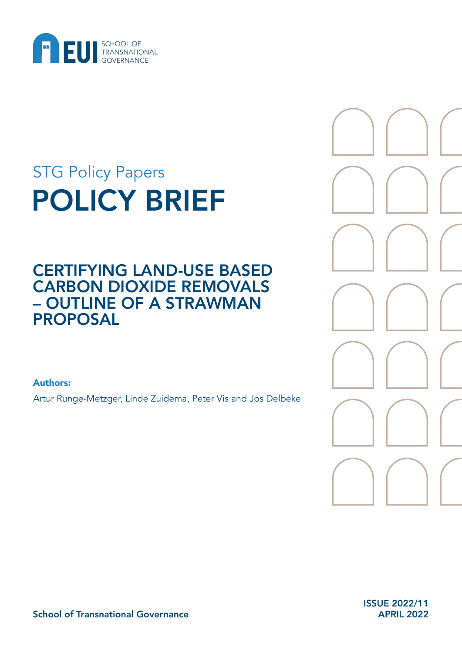

# POLICY BRIEF STG Policy Papers

## CERTIFYING LAND-USE BASED CARBON DIOXIDE REMOVALS – OUTLINE OF A STRAWMAN PROPOSAL

Authors:

Artur Runge-Metzger, Linde Zuidema, Peter Vis and Jos Delbeke



ISSUE 2022/11 APRIL 2022

School of Transnational Governance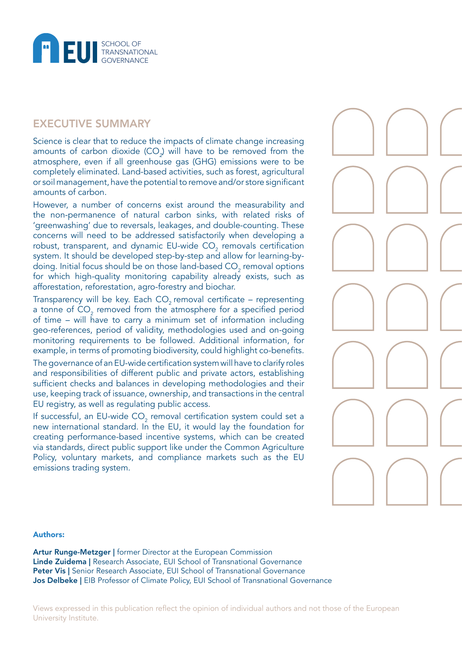

### EXECUTIVE SUMMARY

Science is clear that to reduce the impacts of climate change increasing amounts of carbon dioxide (CO*<sup>2</sup>* ) will have to be removed from the atmosphere, even if all greenhouse gas (GHG) emissions were to be completely eliminated. Land-based activities, such as forest, agricultural or soil management, have the potential to remove and/or store significant amounts of carbon.

However, a number of concerns exist around the measurability and the non-permanence of natural carbon sinks, with related risks of 'greenwashing' due to reversals, leakages, and double-counting. These concerns will need to be addressed satisfactorily when developing a robust, transparent, and dynamic EU-wide CO<sub>2</sub> removals certification system. It should be developed step-by-step and allow for learning-bydoing. Initial focus should be on those land-based CO $_{\textrm{\tiny{2}}}$  removal options for which high-quality monitoring capability already exists, such as afforestation, reforestation, agro-forestry and biochar.

Transparency will be key. Each  $CO<sub>2</sub>$  removal certificate – representing a tonne of  $\mathrm{CO}_2$  removed from the atmosphere for a specified period of time – will have to carry a minimum set of information including geo-references, period of validity, methodologies used and on-going monitoring requirements to be followed. Additional information, for example, in terms of promoting biodiversity, could highlight co-benefits.

The governance of an EU-wide certification system will have to clarify roles and responsibilities of different public and private actors, establishing sufficient checks and balances in developing methodologies and their use, keeping track of issuance, ownership, and transactions in the central EU registry, as well as regulating public access.

If successful, an EU-wide CO<sub>2</sub> removal certification system could set a new international standard. In the EU, it would lay the foundation for creating performance-based incentive systems, which can be created via standards, direct public support like under the Common Agriculture Policy, voluntary markets, and compliance markets such as the EU emissions trading system.

#### Authors:

Artur Runge-Metzger | former Director at the European Commission Linde Zuidema | Research Associate, EUI School of Transnational Governance Peter Vis | Senior Research Associate, EUI School of Transnational Governance Jos Delbeke | EIB Professor of Climate Policy, EUI School of Transnational Governance

Views expressed in this publication reflect the opinion of individual authors and not those of the European University Institute.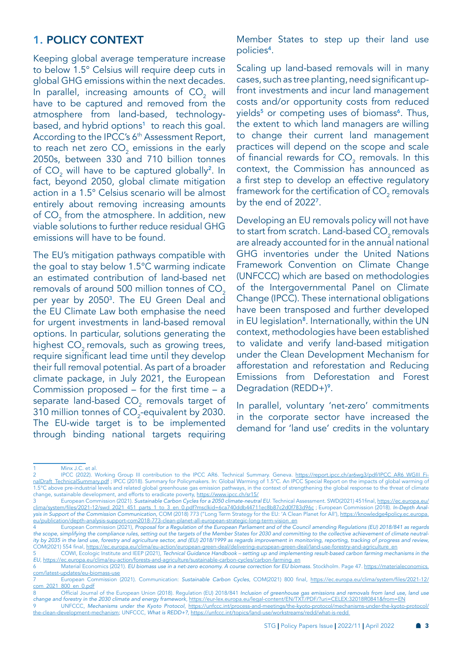### 1. POLICY CONTEXT

Keeping global average temperature increase to below 1.5° Celsius will require deep cuts in global GHG emissions within the next decades. In parallel, increasing amounts of  $CO_{2}^{\circ}$  will have to be captured and removed from the atmosphere from land-based, technologybased, and hybrid options<sup>1</sup> to reach this goal. According to the IPCC's 6<sup>th</sup> Assessment Report, to reach net zero CO $_2$  emissions in the early 2050s, between 330 and 710 billion tonnes of  $CO_2$  will have to be captured globally<sup>2</sup>. In fact, beyond 2050, global climate mitigation action in a 1.5° Celsius scenario will be almost entirely about removing increasing amounts of  $\mathrm{CO}_2$  from the atmosphere. In addition, new viable solutions to further reduce residual GHG emissions will have to be found.

The EU's mitigation pathways compatible with the goal to stay below 1.5°C warming indicate an estimated contribution of land-based net removals of around 500 million tonnes of CO<sub>2</sub> per year by 20503. The EU Green Deal and the EU Climate Law both emphasise the need for urgent investments in land-based removal options. In particular, solutions generating the highest CO<sub>2</sub> removals, such as growing trees, require significant lead time until they develop their full removal potential. As part of a broader climate package, in July 2021, the European Commission proposed – for the first time – a separate land-based CO<sub>2</sub> removals target of 310 million tonnes of CO $_2$ -equivalent by 2030. The EU-wide target is to be implemented through binding national targets requiring

Member States to step up their land use policies4.

Scaling up land-based removals will in many cases, such as tree planting, need significant upfront investments and incur land management costs and/or opportunity costs from reduced yields<sup>5</sup> or competing uses of biomass<sup>6</sup>. Thus, the extent to which land managers are willing to change their current land management practices will depend on the scope and scale of financial rewards for  $\mathsf{CO}_2$  removals. In this context, the Commission has announced as a first step to develop an effective regulatory framework for the certification of CO $_{\textrm{\tiny{2}}}$  removals by the end of 20227.

Developing an EU removals policy will not have to start from scratch. Land-based  $CO<sub>2</sub>$  removals are already accounted for in the annual national GHG inventories under the United Nations Framework Convention on Climate Change (UNFCCC) which are based on methodologies of the Intergovernmental Panel on Climate Change (IPCC). These international obligations have been transposed and further developed in EU legislation<sup>8</sup>. Internationally, within the UN context, methodologies have been established to validate and verify land-based mitigation under the Clean Development Mechanism for afforestation and reforestation and Reducing Emissions from Deforestation and Forest Degradation (REDD+)<sup>9</sup>.

In parallel, voluntary 'net-zero' commitments in the corporate sector have increased the demand for 'land use' credits in the voluntary

Minx J.C. et al.

<sup>2</sup> IPCC (2022). Working Group III contribution to the IPCC AR6. Technical Summary. Geneva. [https://report.ipcc.ch/ar6wg3/pdf/IPCC\\_AR6\\_WGIII\\_Fi](https://report.ipcc.ch/ar6wg3/pdf/IPCC_AR6_WGIII_FinalDraft_TechnicalSummary.pdf)[nalDraft\\_TechnicalSummary.pdf](https://report.ipcc.ch/ar6wg3/pdf/IPCC_AR6_WGIII_FinalDraft_TechnicalSummary.pdf) ; IPCC (2018). Summary for Policymakers. In: Global Warming of 1.5°C. An IPCC Special Report on the impacts of global warming of 1.5°C above pre-industrial levels and related global greenhouse gas emission pathways, in the context of strengthening the global response to the threat of climate change, sustainable development, and efforts to eradicate poverty, <https://www.ipcc.ch/sr15/>

<sup>3</sup> European Commission (2021). *Sustainable Carbon Cycles for a 2050 climate-neutral EU*. Technical Assessment. SWD(2021) 451final, [https://ec.europa.eu/](https://ec.europa.eu/clima/system/files/2021-12/swd_2021_451_parts_1_to_3_en_0.pdf?msclkid=6ca740ddb44711ec8b87c2d0f783d96c) [clima/system/files/2021-12/swd\\_2021\\_451\\_parts\\_1\\_to\\_3\\_en\\_0.pdf?msclkid=6ca740ddb44711ec8b87c2d0f783d96c](https://ec.europa.eu/clima/system/files/2021-12/swd_2021_451_parts_1_to_3_en_0.pdf?msclkid=6ca740ddb44711ec8b87c2d0f783d96c) ; European Commission (2018). *In-Depth Analysis in Support of the Commission Communication,* COM (2018) 773 ("Long Term Strategy for the EU: 'A Clean Planet for All'), [https://knowledge4policy.ec.europa.](https://knowledge4policy.ec.europa.eu/publication/depth-analysis-support-com2018-773-clean-planet-all-european-strategic-long-term-vision_en) [eu/publication/depth-analysis-support-com2018-773-clean-planet-all-european-strategic-long-term-vision\\_en](https://knowledge4policy.ec.europa.eu/publication/depth-analysis-support-com2018-773-clean-planet-all-european-strategic-long-term-vision_en)

<sup>4</sup> European Commission (2021), *Proposal for a Regulation of the European Parliament and of the Council amending Regulations (EU) 2018/841 as regards the scope, simplifying the compliance rules, setting out the targets of the Member States for 2030 and committing to the collective achievement of climate neutrality by 2035 in the land use, forestry and agriculture sector, and (EU) 2018/1999 as regards improvement in monitoring, reporting, tracking of progress and review,* COM(2021) 554 final, [https://ec.europa.eu/clima/eu-action/european-green-deal/delivering-european-green-deal/land-use-forestry-and-agriculture\\_en](https://ec.europa.eu/clima/eu-action/european-green-deal/delivering-european-green-deal/land-use-forestry-and-agriculture_en)

<sup>5</sup> COWI, Ecologic Institute and IEEP (2021), *Technical Guidance Handbook – setting up and implementing result-based carbon farming mechanisms in the EU*, [https://ec.europa.eu/clima/eu-action/forests-and-agriculture/sustainable-carbon-cycles/carbon-farming\\_en](https://ec.europa.eu/clima/eu-action/forests-and-agriculture/sustainable-carbon-cycles/carbon-farming_en)

<sup>6</sup> Material Economics (2021). *EU biomass use in a net-zero economy. A course correction for EU biomass.* Stockholm. Page 47. [https://materialeconomics.](https://materialeconomics.com/latest-updates/eu-biomass-use) [com/latest-updates/eu-biomass-use](https://materialeconomics.com/latest-updates/eu-biomass-use)

<sup>7</sup> European Commission (2021). Communication: *Sustainable Carbon Cycles*, COM(2021) 800 final, [https://ec.europa.eu/clima/system/files/2021-12/](https://ec.europa.eu/clima/system/files/2021-12/com_2021_800_en_0.pdf) [com\\_2021\\_800\\_en\\_0.pdf](https://ec.europa.eu/clima/system/files/2021-12/com_2021_800_en_0.pdf)

Official Journal of the European Union (2018). Regulation (EU) 2018/841 *Inclusion of greenhouse gas emissions and removals from land use*, land use *change and forestry in the 2030 climate and energy framework*, <https://eur-lex.europa.eu/legal-content/EN/TXT/PDF/?uri=CELEX:32018R0841&from=EN> 9 UNFCCC, *Mechanisms under the Kyoto Protocol*, [https://unfccc.int/process-and-meetings/the-kyoto-protocol/mechanisms-under-the-kyoto-protocol/](https://unfccc.int/process-and-meetings/the-kyoto-protocol/mechanisms-under-the-kyoto-protocol/the-clean-development-mechanism) [the-clean-development-mechanism](https://unfccc.int/process-and-meetings/the-kyoto-protocol/mechanisms-under-the-kyoto-protocol/the-clean-development-mechanism); UNFCCC, *What is REDD+?,* <https://unfccc.int/topics/land-use/workstreams/redd/what-is-redd>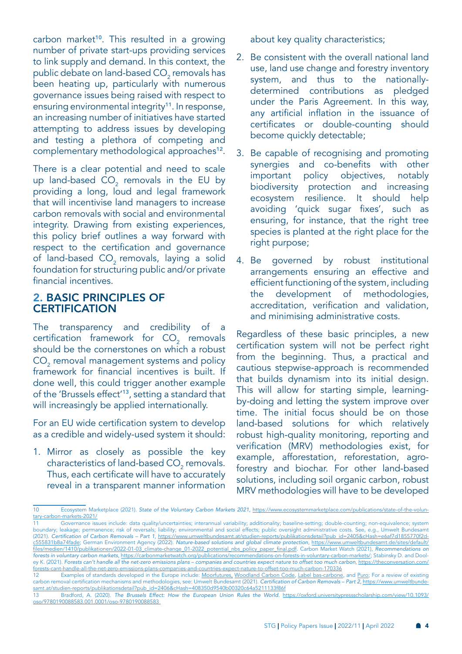carbon market<sup>10</sup>. This resulted in a growing number of private start-ups providing services to link supply and demand. In this context, the public debate on land-based CO $_{\textrm{\tiny{2}}}$  removals has been heating up, particularly with numerous governance issues being raised with respect to ensuring environmental integrity<sup>11</sup>. In response, an increasing number of initiatives have started attempting to address issues by developing and testing a plethora of competing and complementary methodological approaches<sup>12</sup>.

There is a clear potential and need to scale up land-based  $CO_2$  removals in the EU by providing a long, loud and legal framework that will incentivise land managers to increase carbon removals with social and environmental integrity. Drawing from existing experiences, this policy brief outlines a way forward with respect to the certification and governance of land-based CO<sub>2</sub> removals, laying a solid foundation for structuring public and/or private financial incentives.

#### 2. BASIC PRINCIPLES OF **CERTIFICATION**

The transparency and credibility of a certification framework for  $CO_2$  removals should be the cornerstones on which a robust  $CO<sub>2</sub>$  removal management systems and policy framework for financial incentives is built. If done well, this could trigger another example of the 'Brussels effect'13, setting a standard that will increasingly be applied internationally.

For an EU wide certification system to develop as a credible and widely-used system it should:

1. Mirror as closely as possible the key characteristics of land-based CO $_{\textrm{\tiny{2}}}$  removals. Thus, each certificate will have to accurately reveal in a transparent manner information

about key quality characteristics;

- 2. Be consistent with the overall national land use, land use change and forestry inventory system, and thus to the nationallydetermined contributions as pledged under the Paris Agreement. In this way, any artificial inflation in the issuance of certificates or double-counting should become quickly detectable;
- 3. Be capable of recognising and promoting synergies and co-benefits with other important policy objectives, notably biodiversity protection and increasing ecosystem resilience. It should help avoiding 'quick sugar fixes', such as ensuring, for instance, that the right tree species is planted at the right place for the right purpose;
- 4. Be governed by robust institutional arrangements ensuring an effective and efficient functioning of the system, including the development of methodologies, accreditation, verification and validation, and minimising administrative costs.

Regardless of these basic principles, a new certification system will not be perfect right from the beginning. Thus, a practical and cautious stepwise-approach is recommended that builds dynamism into its initial design. This will allow for starting simple, learningby-doing and letting the system improve over time. The initial focus should be on those land-based solutions for which relatively robust high-quality monitoring, reporting and verification (MRV) methodologies exist, for example, afforestation, reforestation, agroforestry and biochar. For other land-based solutions, including soil organic carbon, robust MRV methodologies will have to be developed

<sup>10</sup> Ecosystem Marketplace (2021). *State of the Voluntary Carbon Markets 2021,* [https://www.ecosystemmarketplace.com/publications/state-of-the-volun](https://www.ecosystemmarketplace.com/publications/state-of-the-voluntary-carbon-markets-2021/)[tary-carbon-markets-2021/](https://www.ecosystemmarketplace.com/publications/state-of-the-voluntary-carbon-markets-2021/)

Governance issues include: data quality/uncertainties; interannual variability; additionality; baseline-setting; double-counting; non-equivalence; system boundary; leakage; permanence; risk of reversals; liability; environmental and social effects; public oversight administrative costs. See, e.g., Umwelt Bundesamt (2021). Certification of Carbon Removals – Part 1, [https://www.umweltbundesamt.at/studien-reports/publikationsdetail?pub\\_id=2405&cHash=e6af7d1855770f2d](https://www.umweltbundesamt.at/studien-reports/publikationsdetail?pub_id=2405&cHash=e6af7d1855770f2dc555831b8a74fade)[c555831b8a74fade;](https://www.umweltbundesamt.at/studien-reports/publikationsdetail?pub_id=2405&cHash=e6af7d1855770f2dc555831b8a74fade) German Environment Agency (2022). *Nature-based solutions and global climate protection*, [https://www.umweltbundesamt.de/sites/default/](https://www.umweltbundesamt.de/sites/default/files/medien/1410/publikationen/2022-01-03_climate-change_01-2022_potential_nbs_policy_paper_final.pdf) [files/medien/1410/publikationen/2022-01-03\\_climate-change\\_01-2022\\_potential\\_nbs\\_policy\\_paper\\_final.pdf](https://www.umweltbundesamt.de/sites/default/files/medien/1410/publikationen/2022-01-03_climate-change_01-2022_potential_nbs_policy_paper_final.pdf). Carbon Market Watch (2021), *Recommendations on forests in voluntary carbon markets*, [https://carbonmarketwatch.org/publications/recommendations-on-forests-in-voluntary-carbon-markets/;](https://carbonmarketwatch.org/publications/recommendations-on-forests-in-voluntary-carbon-markets/) Stabinsky D. and Dooley K. (2021). *Forests can't handle all the net-zero emissions plans – companies and countries expect nature to offset too much carbon*, [https://theconversation.com/](https://theconversation.com/forests-cant-handle-all-the-net-zero-emissions-plans-companies-and-countries-expect-nature-to-offset-too-much-carbon-170336)

[forests-cant-handle-all-the-net-zero-emissions-plans-companies-and-countries-expect-nature-to-offset-too-much-carbon-170336](https://theconversation.com/forests-cant-handle-all-the-net-zero-emissions-plans-companies-and-countries-expect-nature-to-offset-too-much-carbon-170336) Examples of standards developed in the Europe include: [Moorfutures,](https://www.moorfutures.de/) [Woodland Carbon Code,](https://www.woodlandcarboncode.org.uk/) [Label bas-carbone](https://www.ecologie.gouv.fr/label-bas-carbone), and [Puro;](https://puro.earth/) For a review of existing carbon removal certification mechanisms and methodologies, see: Umwelt Bundesamt (2021). Certification of Carbon Removals – Part 2, [https://www.umweltbunde](https://www.umweltbundesamt.at/studien-reports/publikationsdetail?pub_id=2406&cHash=408350d9540b00320c64a5211133f86f)[samt.at/studien-reports/publikationsdetail?pub\\_id=2406&cHash=408350d9540b00320c64a5211133f86f](https://www.umweltbundesamt.at/studien-reports/publikationsdetail?pub_id=2406&cHash=408350d9540b00320c64a5211133f86f)

<sup>13</sup> Bradford, A. (2020). *The Brussels Effect: How the European Union Rules the World.* [https://oxford.universitypressscholarship.com/view/10.1093/](https://oxford.universitypressscholarship.com/view/10.1093/oso/9780190088583.001.0001/oso-9780190088583) [oso/9780190088583.001.0001/oso-9780190088583](https://oxford.universitypressscholarship.com/view/10.1093/oso/9780190088583.001.0001/oso-9780190088583)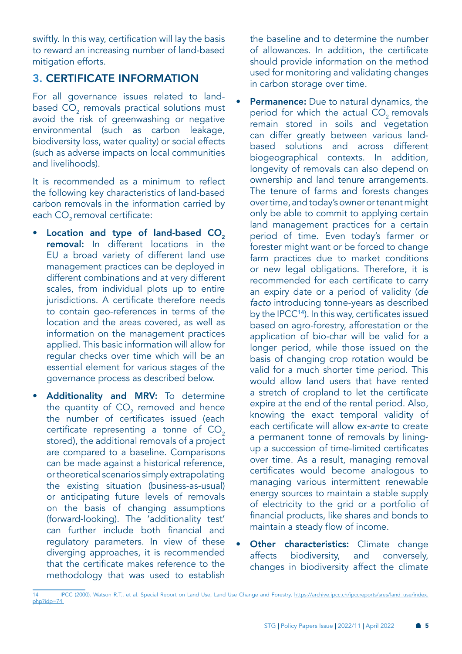swiftly. In this way, certification will lay the basis to reward an increasing number of land-based mitigation efforts.

### 3. CERTIFICATE INFORMATION

For all governance issues related to landbased CO $_{\textrm{\tiny{2}}}$  removals practical solutions must avoid the risk of greenwashing or negative environmental (such as carbon leakage, biodiversity loss, water quality) or social effects (such as adverse impacts on local communities and livelihoods).

It is recommended as a minimum to reflect the following key characteristics of land-based carbon removals in the information carried by each CO<sub>2</sub> removal certificate:

- **Location and type of land-based**  $CO<sub>2</sub>$ removal: In different locations in the EU a broad variety of different land use management practices can be deployed in different combinations and at very different scales, from individual plots up to entire jurisdictions. A certificate therefore needs to contain geo-references in terms of the location and the areas covered, as well as information on the management practices applied. This basic information will allow for regular checks over time which will be an essential element for various stages of the governance process as described below.
- Additionality and MRV: To determine the quantity of  $CO_2$  removed and hence the number of certificates issued (each certificate representing a tonne of  $CO<sub>2</sub>$ stored), the additional removals of a project are compared to a baseline. Comparisons can be made against a historical reference, or theoretical scenarios simply extrapolating the existing situation (business-as-usual) or anticipating future levels of removals on the basis of changing assumptions (forward-looking). The 'additionality test' can further include both financial and regulatory parameters. In view of these diverging approaches, it is recommended that the certificate makes reference to the methodology that was used to establish

the baseline and to determine the number of allowances. In addition, the certificate should provide information on the method used for monitoring and validating changes in carbon storage over time.

- **Permanence:** Due to natural dynamics, the period for which the actual  $CO<sub>2</sub>$  removals remain stored in soils and vegetation can differ greatly between various landbased solutions and across different biogeographical contexts. In addition, longevity of removals can also depend on ownership and land tenure arrangements. The tenure of farms and forests changes over time, and today's owner or tenant might only be able to commit to applying certain land management practices for a certain period of time. Even today's farmer or forester might want or be forced to change farm practices due to market conditions or new legal obligations. Therefore, it is recommended for each certificate to carry an expiry date or a period of validity (*de facto* introducing tonne-years as described by the IPCC14). In this way, certificates issued based on agro-forestry, afforestation or the application of bio-char will be valid for a longer period, while those issued on the basis of changing crop rotation would be valid for a much shorter time period. This would allow land users that have rented a stretch of cropland to let the certificate expire at the end of the rental period. Also, knowing the exact temporal validity of each certificate will allow *ex-ante* to create a permanent tonne of removals by liningup a succession of time-limited certificates over time. As a result, managing removal certificates would become analogous to managing various intermittent renewable energy sources to maintain a stable supply of electricity to the grid or a portfolio of financial products, like shares and bonds to maintain a steady flow of income.
- **Other characteristics:** Climate change affects biodiversity, and conversely, changes in biodiversity affect the climate

<sup>14</sup> IPCC (2000). Watson R.T., et al. Special Report on Land Use, Land Use Change and Forestry, [https://archive.ipcc.ch/ipccreports/sres/land\\_use/index.](https://archive.ipcc.ch/ipccreports/sres/land_use/index.php?idp=74 ) [php?idp=74](https://archive.ipcc.ch/ipccreports/sres/land_use/index.php?idp=74 )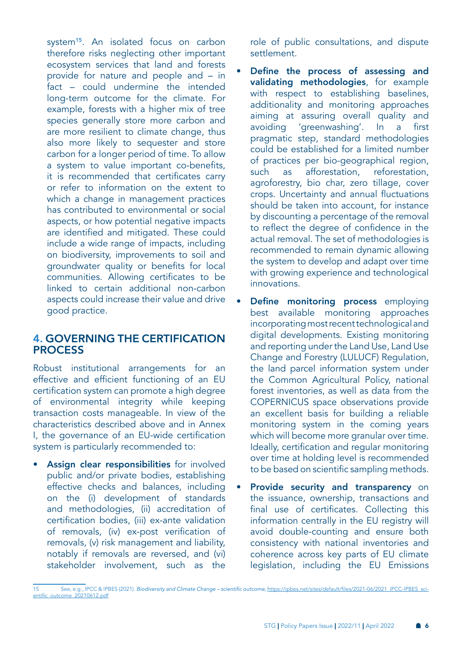system<sup>15</sup>. An isolated focus on carbon therefore risks neglecting other important ecosystem services that land and forests provide for nature and people and – in fact – could undermine the intended long-term outcome for the climate. For example, forests with a higher mix of tree species generally store more carbon and are more resilient to climate change, thus also more likely to sequester and store carbon for a longer period of time. To allow a system to value important co-benefits, it is recommended that certificates carry or refer to information on the extent to which a change in management practices has contributed to environmental or social aspects, or how potential negative impacts are identified and mitigated. These could include a wide range of impacts, including on biodiversity, improvements to soil and groundwater quality or benefits for local communities. Allowing certificates to be linked to certain additional non-carbon aspects could increase their value and drive good practice.

#### 4. GOVERNING THE CERTIFICATION PROCESS

Robust institutional arrangements for an effective and efficient functioning of an EU certification system can promote a high degree of environmental integrity while keeping transaction costs manageable. In view of the characteristics described above and in Annex I, the governance of an EU-wide certification system is particularly recommended to:

Assign clear responsibilities for involved public and/or private bodies, establishing effective checks and balances, including on the (i) development of standards and methodologies, (ii) accreditation of certification bodies, (iii) ex-ante validation of removals, (iv) ex-post verification of removals, (v) risk management and liability, notably if removals are reversed, and (vi) stakeholder involvement, such as the

role of public consultations, and dispute settlement.

- Define the process of assessing and validating methodologies, for example with respect to establishing baselines, additionality and monitoring approaches aiming at assuring overall quality and avoiding 'greenwashing'. In a first pragmatic step, standard methodologies could be established for a limited number of practices per bio-geographical region, such as afforestation, reforestation, agroforestry, bio char, zero tillage, cover crops. Uncertainty and annual fluctuations should be taken into account, for instance by discounting a percentage of the removal to reflect the degree of confidence in the actual removal. The set of methodologies is recommended to remain dynamic allowing the system to develop and adapt over time with growing experience and technological innovations.
- Define monitoring process employing best available monitoring approaches incorporating most recent technological and digital developments. Existing monitoring and reporting under the Land Use, Land Use Change and Forestry (LULUCF) Regulation, the land parcel information system under the Common Agricultural Policy, national forest inventories, as well as data from the COPERNICUS space observations provide an excellent basis for building a reliable monitoring system in the coming years which will become more granular over time. Ideally, certification and regular monitoring over time at holding level is recommended to be based on scientific sampling methods.
- Provide security and transparency on the issuance, ownership, transactions and final use of certificates. Collecting this information centrally in the EU registry will avoid double-counting and ensure both consistency with national inventories and coherence across key parts of EU climate legislation, including the EU Emissions

<sup>15</sup> See, e.g., IPCC & IPBES (2021). Biodiversity and Climate Change – scientific outcome, [https://ipbes.net/sites/default/files/2021-06/2021\\_IPCC-IPBES\\_sci](https://ipbes.net/sites/default/files/2021-06/2021_IPCC-IPBES_scientific_outcome_20210612.pdf)[entific\\_outcome\\_20210612.pdf](https://ipbes.net/sites/default/files/2021-06/2021_IPCC-IPBES_scientific_outcome_20210612.pdf)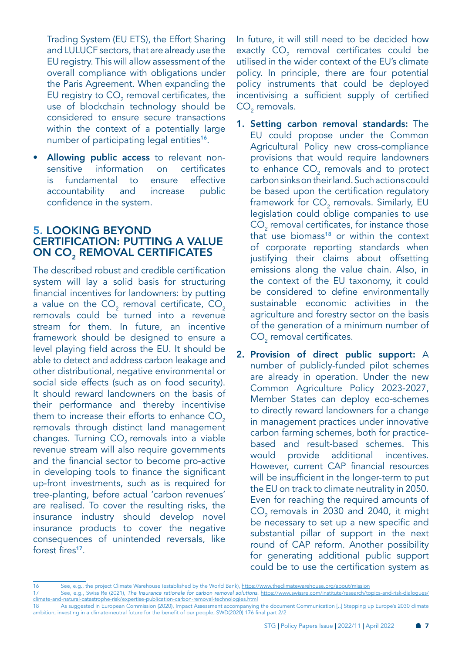Trading System (EU ETS), the Effort Sharing and LULUCF sectors, that are already use the EU registry. This will allow assessment of the overall compliance with obligations under the Paris Agreement. When expanding the EU registry to CO $_2$  removal certificates, the use of blockchain technology should be considered to ensure secure transactions within the context of a potentially large number of participating legal entities<sup>16</sup>.

Allowing public access to relevant nonsensitive information on certificates is fundamental to ensure effective accountability and increase public confidence in the system.

#### 5. LOOKING BEYOND CERTIFICATION: PUTTING A VALUE ON CO<sub>2</sub> REMOVAL CERTIFICATES

The described robust and credible certification system will lay a solid basis for structuring financial incentives for landowners: by putting a value on the CO $_{_2}$  removal certificate, CO $_{_2}$ removals could be turned into a revenue stream for them. In future, an incentive framework should be designed to ensure a level playing field across the EU. It should be able to detect and address carbon leakage and other distributional, negative environmental or social side effects (such as on food security). It should reward landowners on the basis of their performance and thereby incentivise them to increase their efforts to enhance  $CO<sub>2</sub>$ removals through distinct land management changes. Turning CO<sub>2</sub> removals into a viable revenue stream will also require governments and the financial sector to become pro-active in developing tools to finance the significant up-front investments, such as is required for tree-planting, before actual 'carbon revenues' are realised. To cover the resulting risks, the insurance industry should develop novel insurance products to cover the negative consequences of unintended reversals, like forest fires<sup>17</sup>.

In future, it will still need to be decided how exactly  $CO_2$  removal certificates could be utilised in the wider context of the EU's climate policy. In principle, there are four potential policy instruments that could be deployed incentivising a sufficient supply of certified  $CO<sub>2</sub>$  removals.

- 1. Setting carbon removal standards: The EU could propose under the Common Agricultural Policy new cross-compliance provisions that would require landowners to enhance  $\text{CO}_2$  removals and to protect carbon sinks on their land. Such actions could be based upon the certification regulatory framework for  $\mathsf{CO}_2$  removals. Similarly, EU legislation could oblige companies to use  $\mathsf{CO}_2$  removal certificates, for instance those that use biomass<sup>18</sup> or within the context of corporate reporting standards when justifying their claims about offsetting emissions along the value chain. Also, in the context of the EU taxonomy, it could be considered to define environmentally sustainable economic activities in the agriculture and forestry sector on the basis of the generation of a minimum number of  $\mathsf{CO}_2$  removal certificates.
- 2. Provision of direct public support: A number of publicly-funded pilot schemes are already in operation. Under the new Common Agriculture Policy 2023-2027, Member States can deploy eco-schemes to directly reward landowners for a change in management practices under innovative carbon farming schemes, both for practicebased and result-based schemes. This would provide additional incentives. However, current CAP financial resources will be insufficient in the longer-term to put the EU on track to climate neutrality in 2050. Even for reaching the required amounts of CO<sub>2</sub> removals in 2030 and 2040, it might be necessary to set up a new specific and substantial pillar of support in the next round of CAP reform. Another possibility for generating additional public support could be to use the certification system as

<sup>16</sup> See, e.g., the project Climate Warehouse (established by the World Bank), <https://www.theclimatewarehouse.org/about/mission>

<sup>17</sup> See, e.g., Swiss Re (2021), *The Insurance rationale for carbon removal solutions.* [https://www.swissre.com/institute/research/topics-and-risk-dialogues/](https://www.swissre.com/institute/research/topics-and-risk-dialogues/climate-and-natural-catastrophe-risk/expertise-publication-carbon-removal-technologies.html) [climate-and-natural-catastrophe-risk/expertise-publication-carbon-removal-technologies.html](https://www.swissre.com/institute/research/topics-and-risk-dialogues/climate-and-natural-catastrophe-risk/expertise-publication-carbon-removal-technologies.html)

<sup>18</sup> As suggested in European Commission (2020), Impact Assessment accompanying the document Communication [..] Stepping up Europe's 2030 climate ambition, investing in a climate-neutral future for the benefit of our people, SWD(2020) 176 final part 2/2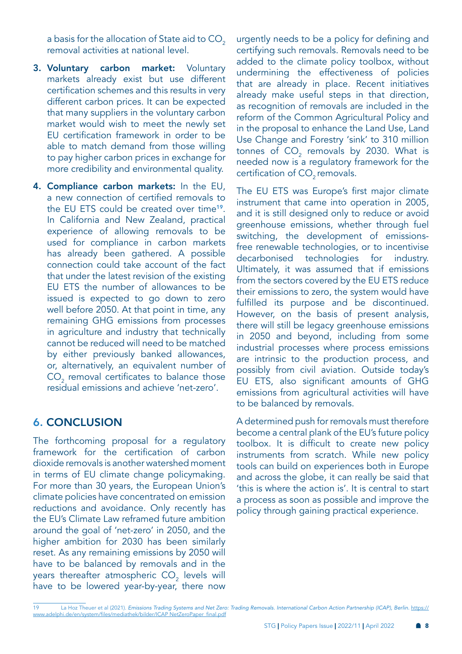a basis for the allocation of State aid to CO<sub>2</sub> removal activities at national level.

- 3. Voluntary carbon market: Voluntary markets already exist but use different certification schemes and this results in very different carbon prices. It can be expected that many suppliers in the voluntary carbon market would wish to meet the newly set EU certification framework in order to be able to match demand from those willing to pay higher carbon prices in exchange for more credibility and environmental quality.
- 4. Compliance carbon markets: In the EU, a new connection of certified removals to the EU ETS could be created over time<sup>19</sup>. In California and New Zealand, practical experience of allowing removals to be used for compliance in carbon markets has already been gathered. A possible connection could take account of the fact that under the latest revision of the existing EU ETS the number of allowances to be issued is expected to go down to zero well before 2050. At that point in time, any remaining GHG emissions from processes in agriculture and industry that technically cannot be reduced will need to be matched by either previously banked allowances, or, alternatively, an equivalent number of  $\mathrm{CO}_2^{\phantom{\dag}}$  removal certificates to balance those residual emissions and achieve 'net-zero'.

### 6. CONCLUSION

The forthcoming proposal for a regulatory framework for the certification of carbon dioxide removals is another watershed moment in terms of EU climate change policymaking. For more than 30 years, the European Union's climate policies have concentrated on emission reductions and avoidance. Only recently has the EU's Climate Law reframed future ambition around the goal of 'net-zero' in 2050, and the higher ambition for 2030 has been similarly reset. As any remaining emissions by 2050 will have to be balanced by removals and in the years thereafter atmospheric CO $_{_2}$  levels will have to be lowered year-by-year, there now

urgently needs to be a policy for defining and certifying such removals. Removals need to be added to the climate policy toolbox, without undermining the effectiveness of policies that are already in place. Recent initiatives already make useful steps in that direction, as recognition of removals are included in the reform of the Common Agricultural Policy and in the proposal to enhance the Land Use, Land Use Change and Forestry 'sink' to 310 million tonnes of  $\mathrm{CO}_2$  removals by 2030. What is needed now is a regulatory framework for the certification of  $CO<sub>2</sub>$  removals.

The EU ETS was Europe's first major climate instrument that came into operation in 2005, and it is still designed only to reduce or avoid greenhouse emissions, whether through fuel switching, the development of emissionsfree renewable technologies, or to incentivise decarbonised technologies for industry. Ultimately, it was assumed that if emissions from the sectors covered by the EU ETS reduce their emissions to zero, the system would have fulfilled its purpose and be discontinued. However, on the basis of present analysis, there will still be legacy greenhouse emissions in 2050 and beyond, including from some industrial processes where process emissions are intrinsic to the production process, and possibly from civil aviation. Outside today's EU ETS, also significant amounts of GHG emissions from agricultural activities will have to be balanced by removals.

A determined push for removals must therefore become a central plank of the EU's future policy toolbox. It is difficult to create new policy instruments from scratch. While new policy tools can build on experiences both in Europe and across the globe, it can really be said that 'this is where the action is'. It is central to start a process as soon as possible and improve the policy through gaining practical experience.

<sup>19</sup> La Hoz Theuer et al (2021). *Emissions Trading Systems and Net Zero: Trading Removals. International Carbon Action Partnership (ICAP), Berlin.* [https://](https://www.adelphi.de/en/system/files/mediathek/bilder/ICAP NetZeroPaper_final.pdf) [www.adelphi.de/en/system/files/mediathek/bilder/ICAP NetZeroPaper\\_final.pdf](https://www.adelphi.de/en/system/files/mediathek/bilder/ICAP NetZeroPaper_final.pdf)